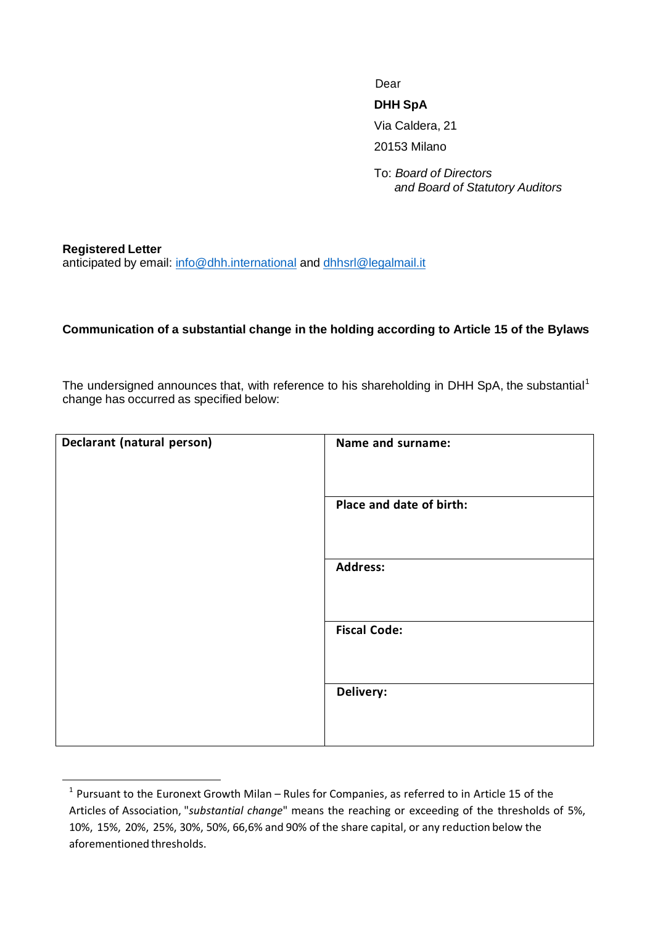Dear

## **DHH SpA**

Via Caldera, 21

20153 Milano

To: *Board of Directors and Board of Statutory Auditors*

**Registered Letter** anticipated by email: [info@dhh.international](mailto:info@dhh.international) and [dhhsrl@legalmail.it](mailto:dhhsrl@legalmail.it)

## **Communication of a substantial change in the holding according to Article 15 of the Bylaws**

The undersigned announces that, with reference to his shareholding in DHH SpA, the substantial<sup>1</sup> change has occurred as specified below:

| Declarant (natural person) | Name and surname:        |
|----------------------------|--------------------------|
|                            | Place and date of birth: |
|                            | <b>Address:</b>          |
|                            | <b>Fiscal Code:</b>      |
|                            | Delivery:                |

 $<sup>1</sup>$  Pursuant to the Euronext Growth Milan – Rules for Companies, as referred to in Article 15 of the</sup> Articles of Association, "*substantial change*" means the reaching or exceeding of the thresholds of 5%, 10%, 15%, 20%, 25%, 30%, 50%, 66,6% and 90% of the share capital, or any reduction below the aforementioned thresholds.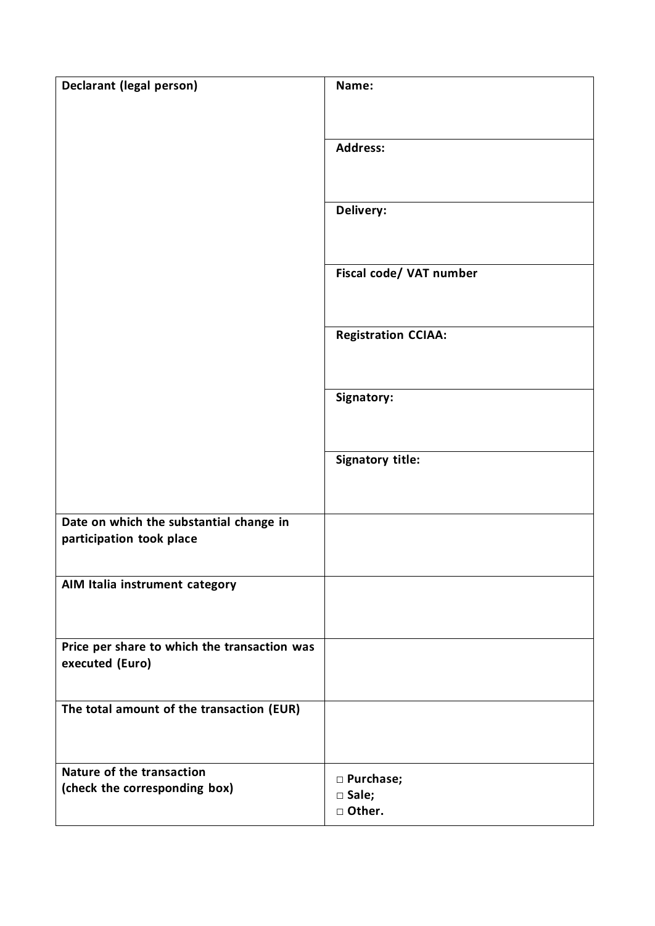| <b>Declarant (legal person)</b>              | Name:                      |
|----------------------------------------------|----------------------------|
|                                              |                            |
|                                              |                            |
|                                              | <b>Address:</b>            |
|                                              |                            |
|                                              |                            |
|                                              | Delivery:                  |
|                                              |                            |
|                                              |                            |
|                                              | Fiscal code/ VAT number    |
|                                              |                            |
|                                              |                            |
|                                              | <b>Registration CCIAA:</b> |
|                                              |                            |
|                                              |                            |
|                                              | Signatory:                 |
|                                              |                            |
|                                              | <b>Signatory title:</b>    |
|                                              |                            |
|                                              |                            |
| Date on which the substantial change in      |                            |
| participation took place                     |                            |
|                                              |                            |
| AIM Italia instrument category               |                            |
|                                              |                            |
|                                              |                            |
| Price per share to which the transaction was |                            |
| executed (Euro)                              |                            |
|                                              |                            |
| The total amount of the transaction (EUR)    |                            |
|                                              |                            |
|                                              |                            |
| Nature of the transaction                    | □ Purchase;                |
| (check the corresponding box)                | □ Sale;                    |
|                                              | □ Other.                   |